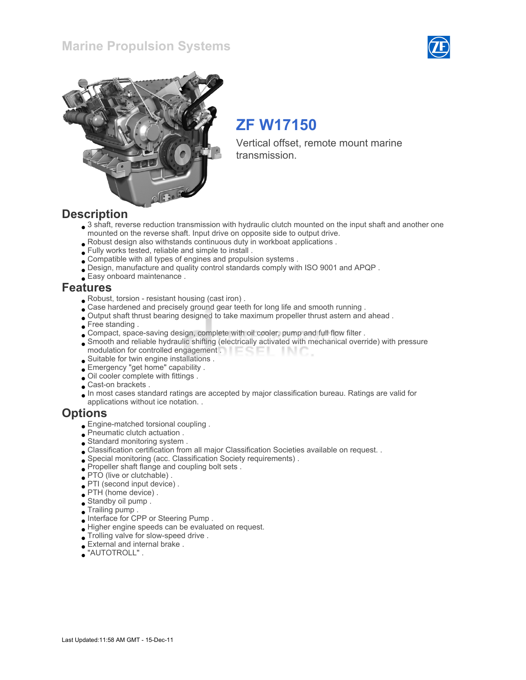### Marine Propulsion Systems





# ZF W17150

Vertical offset, remote mount marine transmission.

### **Description**

- 3 shaft, reverse reduction transmission with hydraulic clutch mounted on the input shaft and another one mounted on the reverse shaft. Input drive on opposite side to output drive.
- Robust design also withstands continuous duty in workboat applications .
- Fully works tested, reliable and simple to install .
- Compatible with all types of engines and propulsion systems .
- Design, manufacture and quality control standards comply with ISO 9001 and APQP .
- Easy onboard maintenance .

### Features

- Robust, torsion resistant housing (cast iron) .
- Case hardened and precisely ground gear teeth for long life and smooth running .
- Output shaft thrust bearing designed to take maximum propeller thrust astern and ahead .
- Free standing.
- Compact, space-saving design, complete with oil cooler, pump and full flow filter .
- Smooth and reliable hydraulic shifting (electrically activated with mechanical override) with pressure modulation for controlled engagement . **Example 20** - IN C
- Suitable for twin engine installations .
- Emergency "get home" capability .
- Oil cooler complete with fittings .
- Cast-on brackets .
- In most cases standard ratings are accepted by major classification bureau. Ratings are valid for applications without ice notation. .

### **Options**

- Engine-matched torsional coupling .
- Pneumatic clutch actuation .
- Standard monitoring system .
- Classification certification from all major Classification Societies available on request. .
- Special monitoring (acc. Classification Society requirements) .
- Propeller shaft flange and coupling bolt sets .
- PTO (live or clutchable) .
- PTI (second input device) .
- PTH (home device) .
- Standby oil pump .
- Trailing pump .
- Interface for CPP or Steering Pump .
- Higher engine speeds can be evaluated on request.
- Trolling valve for slow-speed drive .
- External and internal brake .
- "AUTOTROLL" .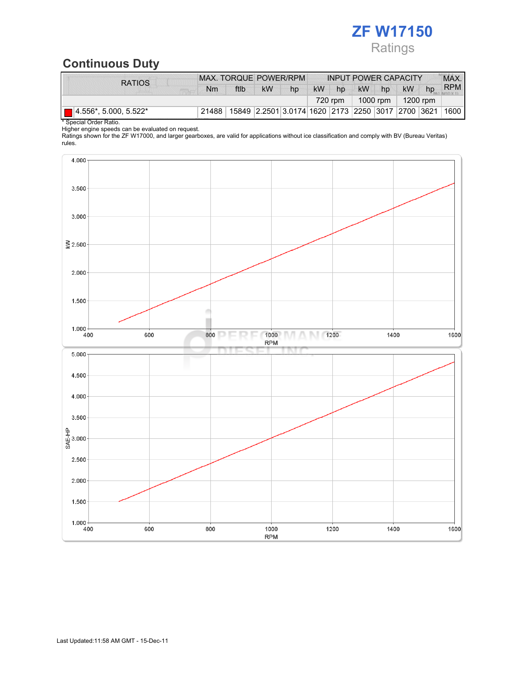# ZF W17150 Ratings

## Continuous Duty

| <b>RATIOS</b>                | MAX. TORQUE POWER/RPM |      |                                                   |    | <b>INPUT POWER CAPACITY</b> |    |                                             |    |           | MAX. |            |
|------------------------------|-----------------------|------|---------------------------------------------------|----|-----------------------------|----|---------------------------------------------|----|-----------|------|------------|
|                              | Nm                    | ftlb | <b>kW</b>                                         | hp | <b>kW</b>                   | hp | <b>kW</b>                                   | hp | <b>kW</b> | hp   | <b>RPM</b> |
|                              |                       |      |                                                   |    |                             |    | 1200 rpm<br>720 rpm<br>1000 rpm $\parallel$ |    |           |      |            |
| $\Box$ 4.556*, 5.000, 5.522* | 21488                 |      | 15849 2.2501 3.0174 1620 2173 2250 3017 2700 3621 |    |                             |    |                                             |    |           |      | 1600       |

\* Special Order Ratio.

Higher engine speeds can be evaluated on request.

Ratings shown for the ZF W17000, and larger gearboxes, are valid for applications without ice classification and comply with BV (Bureau Veritas) rules.

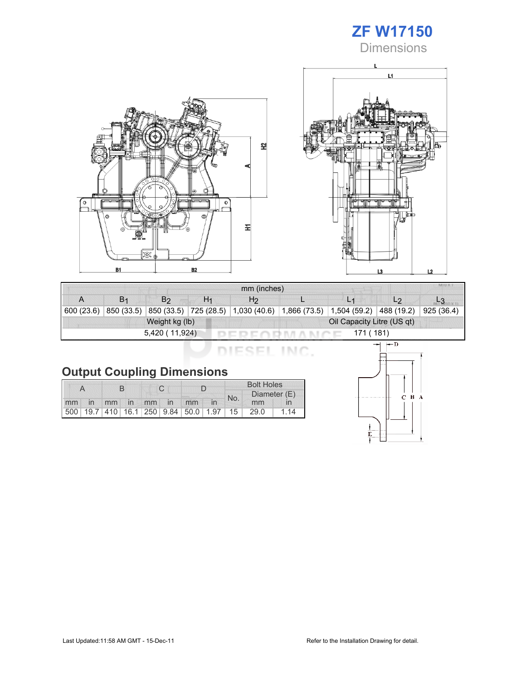## ZF W17150 **Dimensions**





|                              | MIU X.<br>mm (inches) |                |    |                                                 |  |                |                |           |  |  |
|------------------------------|-----------------------|----------------|----|-------------------------------------------------|--|----------------|----------------|-----------|--|--|
| A                            | B <sub>1</sub>        | B2             | H1 | H <sub>2</sub>                                  |  | L <sub>1</sub> | L <sub>2</sub> |           |  |  |
| 600 (23.6)                   | 850 (33.5)            |                |    | 850 (33.5) 725 (28.5) 1,030 (40.6) 1,866 (73.5) |  | 1,504(59.2)    | 488 (19.2)     | 925(36.4) |  |  |
|                              |                       | Weight kg (lb) |    | Oil Capacity Litre (US qt)                      |  |                |                |           |  |  |
| 5,420 (11,924)<br>I71 ( 181) |                       |                |    |                                                 |  |                |                |           |  |  |

DIESEL INC.

|  |  | <b>Output Coupling Dimensions</b> |
|--|--|-----------------------------------|
|--|--|-----------------------------------|

|    |    |  |             |  |  |                                                         |  | <b>Bolt Holes</b> |              |    |  |
|----|----|--|-------------|--|--|---------------------------------------------------------|--|-------------------|--------------|----|--|
|    |    |  |             |  |  |                                                         |  | No.               | Diameter (E) |    |  |
| mm | in |  | mm in mm in |  |  | mm                                                      |  |                   | mm           |    |  |
|    |    |  |             |  |  | 500   19.7   410   16.1   250   9.84   50.0   1.97   15 |  |                   | 29.0         | 14 |  |

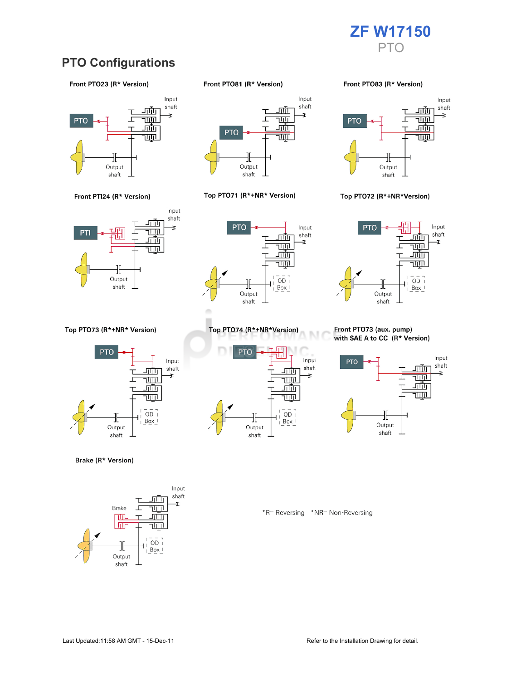

### PTO Configurations

#### Front PTO23 (R\* Version)





Top PTO73 (R\*+NR\* Version)



Brake (R\* Version)



Front PTO81 (R\* Version)



#### Top PTO71 (R\*+NR\* Version)



Top PTO74 (R\*+NR\*Version)

╫

Output

shaft

<u>ш.</u>

г

<u>जाण</u>

च्णा

<u>गाँग</u>

<u>TUTIL</u>

 $\overline{OD}$ 

 $Box$ 

**PTO** 

#### Front PTO83 (R\* Version)



#### Top PTO72 (R\*+NR\*Version)



#### Front PTO73 (aux. pump) with SAE A to CC (R\* Version)



\*R= Reversing \*NR= Non-Reversing

M

Input

shaft

Ŧ